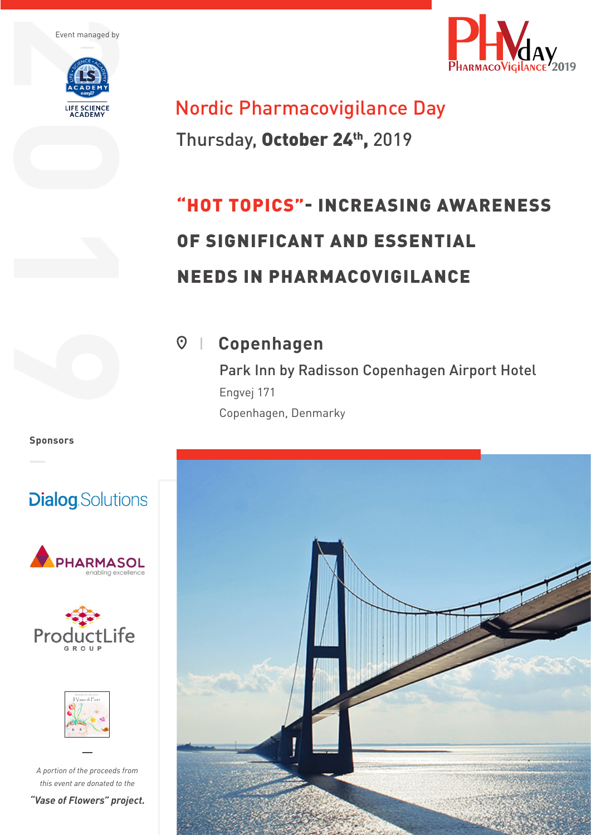



# Nordic Pharmacovigilance Day

Thursday, October 24th, 2019

# "HOT TOPICS"- INCREASING AWARENESS OF SIGNIFICANT AND ESSENTIAL NEEDS IN PHARMACOVIGILANCE

**Copenhagen**

Park Inn by Radisson Copenhagen Airport Hotel Engvej 171 Copenhagen, Denmarky



**Sponsors**

# **Dialog**.Solutions







*A portion of the proceeds from this event are donated to the*

*"Vase of Flowers" project.*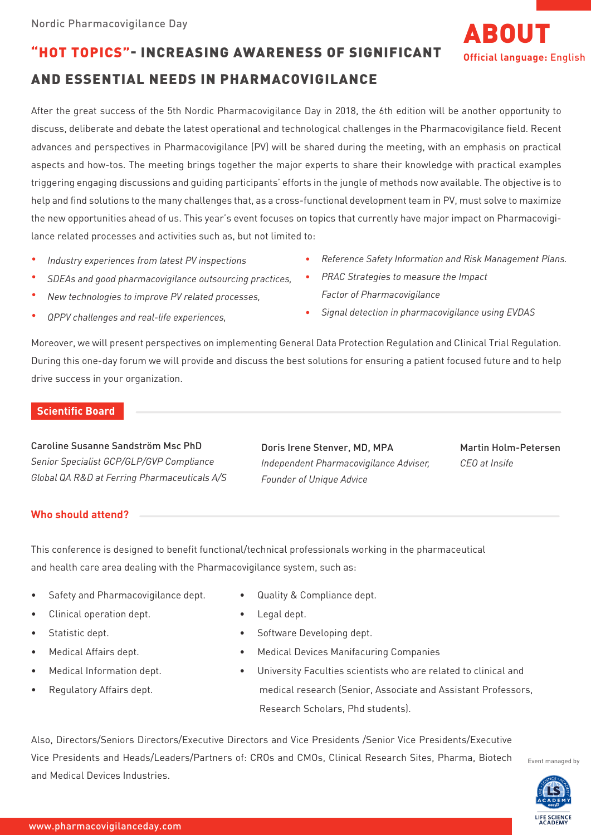### "HOT TOPICS"- INCREASING AWARENESS OF SIGNIFICANT

## AND ESSENTIAL NEEDS IN PHARMACOVIGILANCE

After the great success of the 5th Nordic Pharmacovigilance Day in 2018, the 6th edition will be another opportunity to discuss, deliberate and debate the latest operational and technological challenges in the Pharmacovigilance field. Recent advances and perspectives in Pharmacovigilance (PV) will be shared during the meeting, with an emphasis on practical aspects and how-tos. The meeting brings together the major experts to share their knowledge with practical examples triggering engaging discussions and guiding participants' efforts in the jungle of methods now available. The objective is to help and find solutions to the many challenges that, as a cross-functional development team in PV, must solve to maximize the new opportunities ahead of us. This year's event focuses on topics that currently have major impact on Pharmacovigilance related processes and activities such as, but not limited to:

- *Industry experiences from latest PV inspections*
- *SDEAs and good pharmacovigilance outsourcing practices,*
- *New technologies to improve PV related processes,*
- *QPPV challenges and real-life experiences,*
- *Reference Safety Information and Risk Management Plans.*
- *PRAC Strategies to measure the Impact Factor of Pharmacovigilance*
- *Signal detection in pharmacovigilance using EVDAS*

Moreover, we will present perspectives on implementing General Data Protection Regulation and Clinical Trial Regulation. During this one-day forum we will provide and discuss the best solutions for ensuring a patient focused future and to help drive success in your organization.

### **Scientific Board**

Caroline Susanne Sandström Msc PhD *Senior Specialist GCP/GLP/GVP Compliance Global QA R&D at Ferring Pharmaceuticals A/S*

Doris Irene Stenver, MD, MPA *Independent Pharmacovigilance Adviser, Founder of Unique Advice*

Martin Holm-Petersen *CEO at Insife*

ABOUT

**Official language:** English

### **Who should attend?**

This conference is designed to benefit functional/technical professionals working in the pharmaceutical and health care area dealing with the Pharmacovigilance system, such as:

- Safety and Pharmacovigilance dept.
- Clinical operation dept.
- Statistic dept.
- Medical Affairs dept.
- Medical Information dept.
- Regulatory Affairs dept.
- Quality & Compliance dept.
- Legal dept.
- Software Developing dept.
- Medical Devices Manifacuring Companies
- University Faculties scientists who are related to clinical and medical research (Senior, Associate and Assistant Professors, Research Scholars, Phd students).

Also, Directors/Seniors Directors/Executive Directors and Vice Presidents /Senior Vice Presidents/Executive Vice Presidents and Heads/Leaders/Partners of: CROs and CMOs, Clinical Research Sites, Pharma, Biotech and Medical Devices Industries.



Event managed by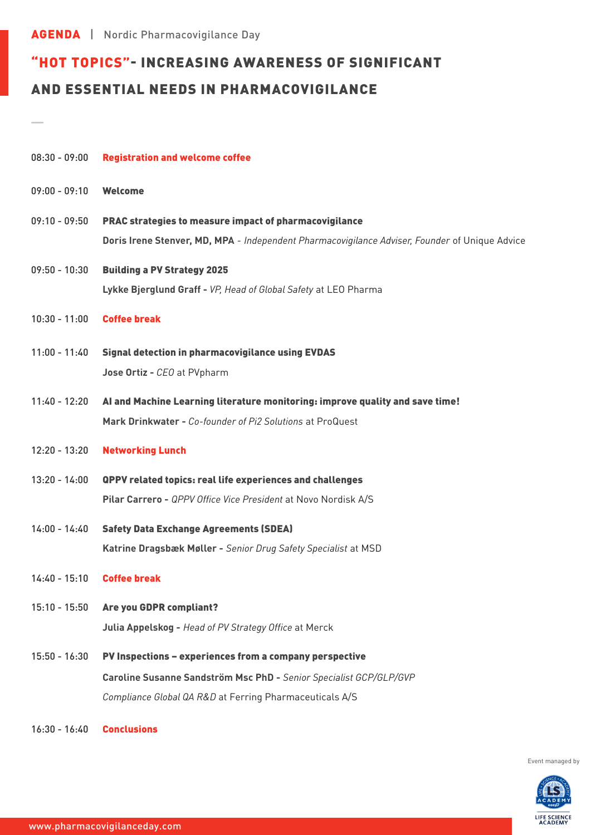AGENDA | Nordic Pharmacovigilance Day

## "HOT TOPICS"- INCREASING AWARENESS OF SIGNIFICANT AND ESSENTIAL NEEDS IN PHARMACOVIGILANCE

| $08:30 - 09:00$ | <b>Registration and welcome coffee</b>                                                                                                                                                   |
|-----------------|------------------------------------------------------------------------------------------------------------------------------------------------------------------------------------------|
| $09:00 - 09:10$ | <b>Welcome</b>                                                                                                                                                                           |
| $09:10 - 09:50$ | PRAC strategies to measure impact of pharmacovigilance<br>Doris Irene Stenver, MD, MPA - Independent Pharmacovigilance Adviser, Founder of Unique Advice                                 |
| $09:50 - 10:30$ | <b>Building a PV Strategy 2025</b><br>Lykke Bjerglund Graff - VP, Head of Global Safety at LEO Pharma                                                                                    |
| $10:30 - 11:00$ | <b>Coffee break</b>                                                                                                                                                                      |
| $11:00 - 11:40$ | <b>Signal detection in pharmacovigilance using EVDAS</b><br>Jose Ortiz - CEO at PVpharm                                                                                                  |
| $11:40 - 12:20$ | Al and Machine Learning literature monitoring: improve quality and save time!<br>Mark Drinkwater - Co-founder of Pi2 Solutions at ProQuest                                               |
| $12:20 - 13:20$ | <b>Networking Lunch</b>                                                                                                                                                                  |
| $13:20 - 14:00$ | <b>QPPV related topics: real life experiences and challenges</b><br>Pilar Carrero - QPPV Office Vice President at Novo Nordisk A/S                                                       |
| $14:00 - 14:40$ | <b>Safety Data Exchange Agreements (SDEA)</b><br>Katrine Dragsbæk Møller - Senior Drug Safety Specialist at MSD                                                                          |
| $14:40 - 15:10$ | <b>Coffee break</b>                                                                                                                                                                      |
| $15:10 - 15:50$ | <b>Are you GDPR compliant?</b><br>Julia Appelskog - Head of PV Strategy Office at Merck                                                                                                  |
| $15:50 - 16:30$ | PV Inspections - experiences from a company perspective<br>Caroline Susanne Sandström Msc PhD - Senior Specialist GCP/GLP/GVP<br>Compliance Global QA R&D at Ferring Pharmaceuticals A/S |

16:30 - 16:40 Conclusions

Event managed by

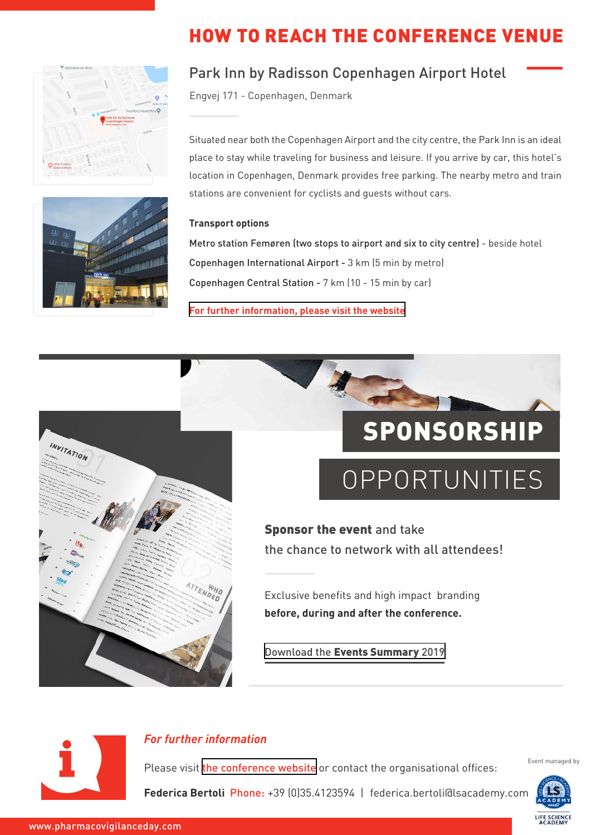



## HOW TO REACH THE CONFERENCE VENUE

## Park Inn by Radisson Copenhagen Airport Hotel

Engvej 171 - Copenhagen, Denmark

Situated near both the Copenhagen Airport and the city centre, the Park Inn is an ideal place to stay while traveling for business and leisure. If you arrive by car, this hotel's location in Copenhagen, Denmark provides free parking. The nearby metro and train stations are convenient for cyclists and guests without cars.

### **Transport options**

Metro station Femøren (two stops to airport and six to city centre) - beside hotel Copenhagen International Airport - 3 km (5 min by metro) Copenhagen Central Station - 7 km (10 - 15 min by car)

**[For further information, please visit the website](http://www.parkinn.com/hotel-copenhagen)**



# SPONSORSHIP

# OPPORTUNITIES

Sponsor the event and take the chance to network with all attendees!

Exclusive benefits and high impact branding **before, during and after the conference.** 

Download the [Events Summary](http://easy-b.it/documents/Events_summary_2019.pdf) 2019



### *For further information*

Please visit [the conference website](https://nordicpharmacovigilanceday2019.lsacademyevents.it) or contact the organisational offices:

Event managed by

**Federica Bertoli** Phone: +39 (0)35.4123594 | federica.bertoli@lsacademy.com

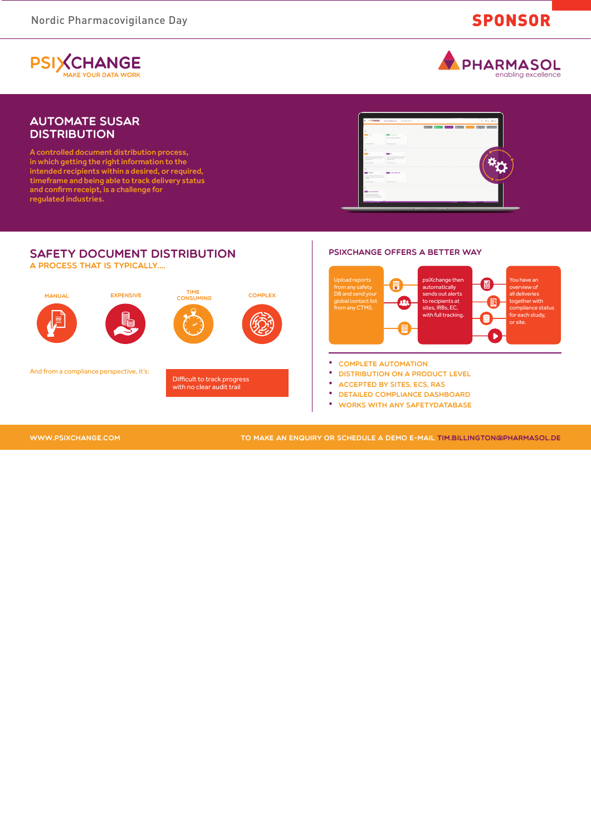Nordic Pharmacovigilance Day SPONSOR

**PSIXCHANGE MAKE YOUR DATA WORK** 



### Automate SUSAR **DISTRIBUTION**

A controlled document distribution process, in which getting the right information to the intended recipients within a desired, or required, timeframe and being able to track delivery status and confirm receipt, is a challenge for regulated industries.





WWW.PSIXCHANGE.COM

TO MAKE AN ENQUIRY OR SCHEDULE A DEMO E-MAIL TIM.BILLINGTON**@**PHARMASOL.DE